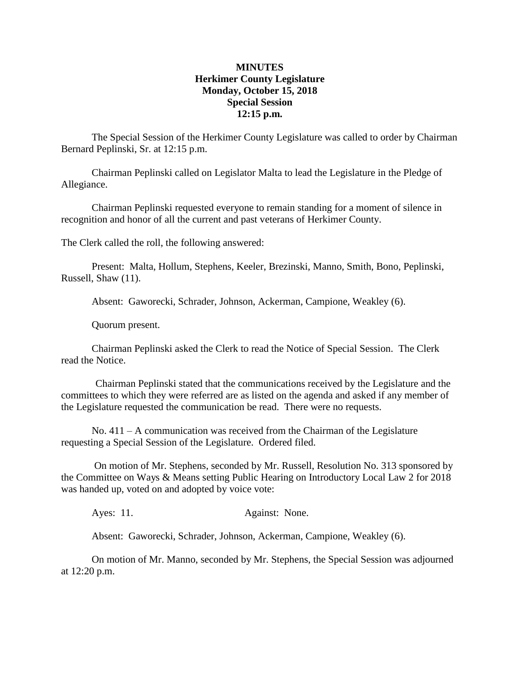## **MINUTES Herkimer County Legislature Monday, October 15, 2018 Special Session 12:15 p.m.**

The Special Session of the Herkimer County Legislature was called to order by Chairman Bernard Peplinski, Sr. at 12:15 p.m.

Chairman Peplinski called on Legislator Malta to lead the Legislature in the Pledge of Allegiance.

Chairman Peplinski requested everyone to remain standing for a moment of silence in recognition and honor of all the current and past veterans of Herkimer County.

The Clerk called the roll, the following answered:

Present: Malta, Hollum, Stephens, Keeler, Brezinski, Manno, Smith, Bono, Peplinski, Russell, Shaw (11).

Absent: Gaworecki, Schrader, Johnson, Ackerman, Campione, Weakley (6).

Quorum present.

Chairman Peplinski asked the Clerk to read the Notice of Special Session. The Clerk read the Notice.

Chairman Peplinski stated that the communications received by the Legislature and the committees to which they were referred are as listed on the agenda and asked if any member of the Legislature requested the communication be read. There were no requests.

No.  $411 - A$  communication was received from the Chairman of the Legislature requesting a Special Session of the Legislature. Ordered filed.

On motion of Mr. Stephens, seconded by Mr. Russell, Resolution No. 313 sponsored by the Committee on Ways & Means setting Public Hearing on Introductory Local Law 2 for 2018 was handed up, voted on and adopted by voice vote:

Ayes: 11. Against: None.

Absent: Gaworecki, Schrader, Johnson, Ackerman, Campione, Weakley (6).

On motion of Mr. Manno, seconded by Mr. Stephens, the Special Session was adjourned at 12:20 p.m.